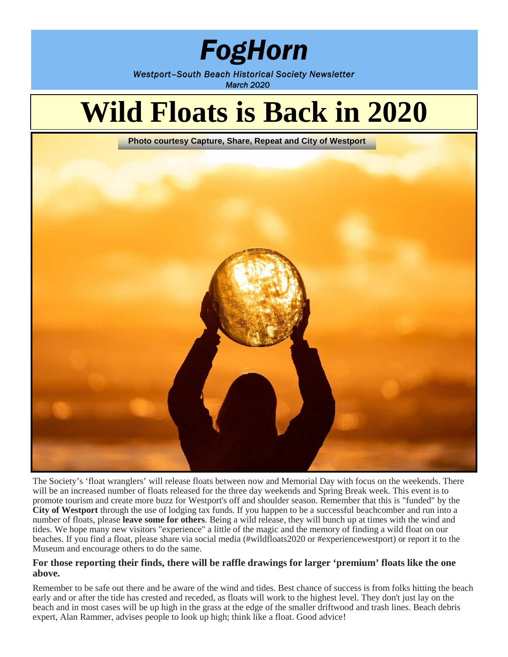## *FogHorn*

*Westport–South Beach Historical Society Newsletter March 2020*

# **Wild Floats is Back in 2020**

**Photo courtesy Capture, Share, Repeat and City of Westport**



The Society's 'float wranglers' will release floats between now and Memorial Day with focus on the weekends. There will be an increased number of floats released for the three day weekends and Spring Break week. This event is to promote tourism and create more buzz for Westport's off and shoulder season. Remember that this is "funded" by the **City of Westport** through the use of lodging tax funds. If you happen to be a successful beachcomber and run into a number of floats, please **leave some for others**. Being a wild release, they will bunch up at times with the wind and tides. We hope many new visitors "experience" a little of the magic and the memory of finding a wild float on our beaches. If you find a float, please share via social media (#wildfloats2020 or #experiencewestport) or report it to the Museum and encourage others to do the same.

#### **For those reporting their finds, there will be raffle drawings for larger 'premium' floats like the one above.**

Remember to be safe out there and be aware of the wind and tides. Best chance of success is from folks hitting the beach early and or after the tide has crested and receded, as floats will work to the highest level. They don't just lay on the beach and in most cases will be up high in the grass at the edge of the smaller driftwood and trash lines. Beach debris expert, Alan Rammer, advises people to look up high; think like a float. Good advice!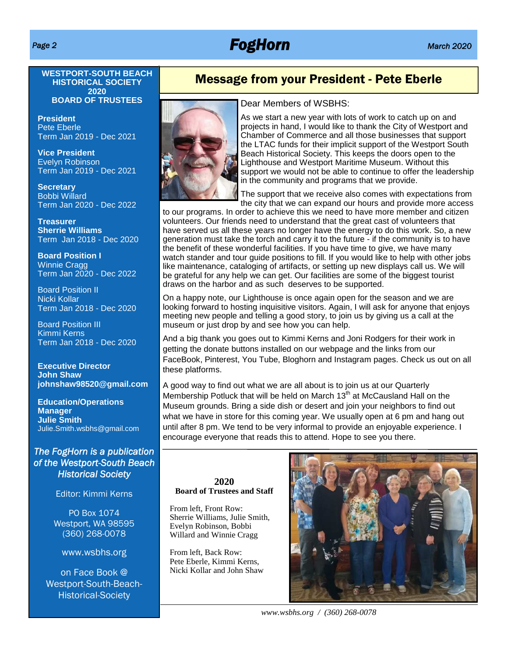### *Page 2 FogHorn March 2020*

#### **WESTPORT-SOUTH BEACH HISTORICAL SOCIETY 2020 BOARD OF TRUSTEES**

**President** Pete Eberle Term Jan 2019 - Dec 2021

**Vice President** Evelyn Robinson Term Jan 2019 - Dec 2021

**Secretary** Bobbi Willard Term Jan 2020 - Dec 2022

**Treasurer Sherrie Williams** Term Jan 2018 - Dec 2020

**Board Position I** Winnie Cragg Term Jan 2020 - Dec 2022

Board Position II Nicki Kollar Term Jan 2018 - Dec 2020

Board Position III Kimmi Kerns Term Jan 2018 - Dec 2020

**Executive Director John Shaw johnshaw98520@gmail.com**

**Education/Operations Manager Julie Smith** Julie.Smith.wsbhs@gmail.com

#### *The FogHorn is a publication of the Westport-South Beach Historical Society*

Editor: Kimmi Kerns

PO Box 1074 Westport, WA 98595 (360) 268-0078

www.wsbhs.org

on Face Book @ Westport-South-Beach-Historical-Society

#### Message from your President - Pete Eberle



#### Dear Members of WSBHS:

As we start a new year with lots of work to catch up on and projects in hand, I would like to thank the City of Westport and Chamber of Commerce and all those businesses that support the LTAC funds for their implicit support of the Westport South Beach Historical Society. This keeps the doors open to the Lighthouse and Westport Maritime Museum. Without this support we would not be able to continue to offer the leadership in the community and programs that we provide.

The support that we receive also comes with expectations from the city that we can expand our hours and provide more access

to our programs. In order to achieve this we need to have more member and citizen volunteers. Our friends need to understand that the great cast of volunteers that have served us all these years no longer have the energy to do this work. So, a new generation must take the torch and carry it to the future - if the community is to have the benefit of these wonderful facilities. If you have time to give, we have many watch stander and tour guide positions to fill. If you would like to help with other jobs like maintenance, cataloging of artifacts, or setting up new displays call us. We will be grateful for any help we can get. Our facilities are some of the biggest tourist draws on the harbor and as such deserves to be supported.

On a happy note, our Lighthouse is once again open for the season and we are looking forward to hosting inquisitive visitors. Again, I will ask for anyone that enjoys meeting new people and telling a good story, to join us by giving us a call at the museum or just drop by and see how you can help.

And a big thank you goes out to Kimmi Kerns and Joni Rodgers for their work in getting the donate buttons installed on our webpage and the links from our FaceBook, Pinterest, You Tube, Bloghorn and Instagram pages. Check us out on all these platforms.

A good way to find out what we are all about is to join us at our Quarterly Membership Potluck that will be held on March  $13<sup>th</sup>$  at McCausland Hall on the Museum grounds. Bring a side dish or desert and join your neighbors to find out what we have in store for this coming year. We usually open at 6 pm and hang out until after 8 pm. We tend to be very informal to provide an enjoyable experience. I encourage everyone that reads this to attend. Hope to see you there.

#### **2020 Board of Trustees and Staff**

From left, Front Row: Sherrie Williams, Julie Smith, Evelyn Robinson, Bobbi Willard and Winnie Cragg

From left, Back Row: Pete Eberle, Kimmi Kerns, Nicki Kollar and John Shaw



*www.wsbhs.org / (360) 268-0078*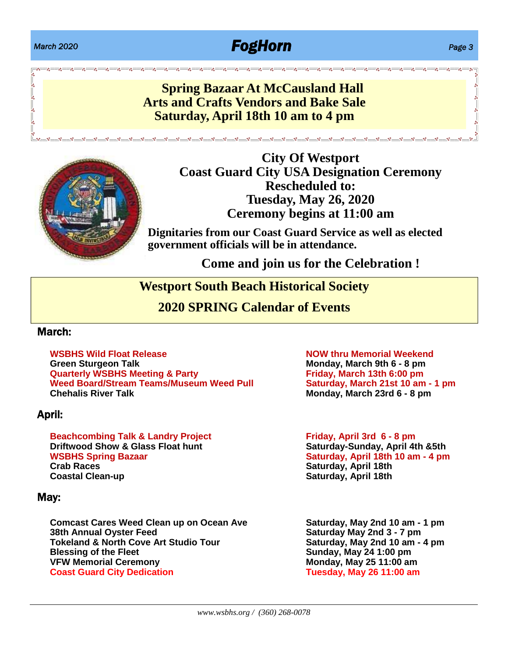### *March 2020 FogHorn Page 3*

### **Spring Bazaar At McCausland Hall Arts and Crafts Vendors and Bake Sale Saturday, April 18th 10 am to 4 pm**



**City Of Westport Coast Guard City USA Designation Ceremony Rescheduled to: Tuesday, May 26, 2020 Ceremony begins at 11:00 am**

**Dignitaries from our Coast Guard Service as well as elected government officials will be in attendance.**

း<br>ေလ့ေလ့ေလွေ လွေ လွေ လွေ လွေ လွ

**Come and join us for the Celebration !**

#### **Westport South Beach Historical Society**

**2020 SPRING Calendar of Events**

#### March:

**WSBHS Wild Float Release NOW thru Memorial Weekend Green Sturgeon Talk Monday, March 9th 6 - 8 pm Quarterly WSBHS Meeting & Party Friday, March 13th 6:00 pm Weed Board/Stream Teams/Museum Weed Pull Saturday, March 21st 10 am - 1 pm**

#### April:

**Beachcombing Talk & Landry Project Friday, April 3rd 6 - 8 pm Driftwood Show & Glass Float hunt WSBHS Spring Bazaar Saturday, April 18th 10 am - 4 pm Crab Races Saturday, April 18th Coastal Clean-up Saturday, April 18th**

#### May:

**Comcast Cares Weed Clean up on Ocean Ave Saturday, May 2nd 10 am - 1 pm 38th Annual Oyster Feed Saturday May 2nd 3 - 7 pm Tokeland & North Cove Art Studio Tour Saturday, May 2nd 10 am - 4 pm Blessing of the Fleet Sunday, May 24 1:00 pm Coast Guard City Dedication Tuesday, May 26 11:00 am**

**Chehalis River Talk Monday, March 23rd 6 - 8 pm**

**Monday, May 25 11:00 am**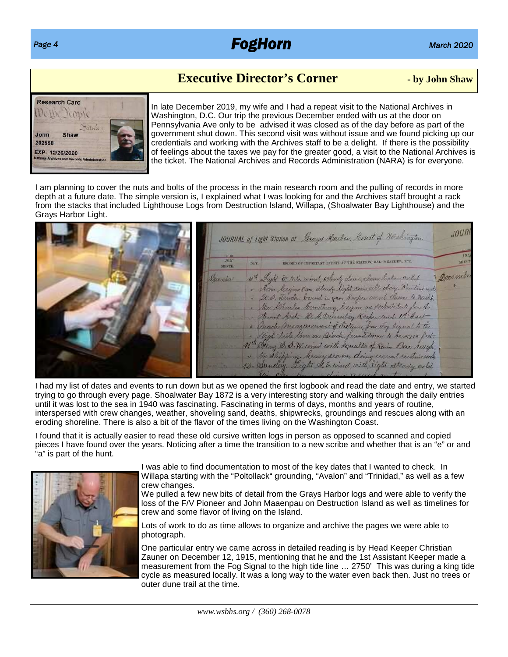### *Page 4 FogHorn March 2020*

#### **Executive Director's Corner - by John Shaw**



In late December 2019, my wife and I had a repeat visit to the National Archives in Washington, D.C. Our trip the previous December ended with us at the door on Pennsylvania Ave only to be advised it was closed as of the day before as part of the government shut down. This second visit was without issue and we found picking up our credentials and working with the Archives staff to be a delight. If there is the possibility of feelings about the taxes we pay for the greater good, a visit to the National Archives is the ticket. The National Archives and Records Administration (NARA) is for everyone.

I am planning to cover the nuts and bolts of the process in the main research room and the pulling of records in more depth at a future date. The simple version is, I explained what I was looking for and the Archives staff brought a rack from the stacks that included Lighthouse Logs from Destruction Island, Willapa, (Shoalwater Bay Lighthouse) and the Grays Harbor Light.

|  |            |      | JOURNAL of Light Station at Grays Harbon, Onest of Washington.                                                |          |
|--|------------|------|---------------------------------------------------------------------------------------------------------------|----------|
|  | $1 - 11$   |      |                                                                                                               |          |
|  | <b>JSH</b> | DAY. |                                                                                                               |          |
|  | rember     |      | 10th Light & N.C. wind, Soudy down, clear below cold                                                          | Decomber |
|  |            |      | " Nem Majne & am, ettendy light rein all day, Rustine und                                                     |          |
|  |            |      | . 2. B. Jender baund in gam, Respect went down to Marcht.                                                     |          |
|  |            |      | · Mr. Deceles Armstrong, began as substitute for the<br>" Desemb Asel, H. A. Direculary Keeper and 1! " Hast- |          |
|  |            |      | . Onceles messenement of distance, from very legral to the                                                    |          |
|  |            |      | " Styge Tide I'm on Beach farmit same to be 2750 feet.                                                        |          |
|  |            |      | 11th String D. S. W. wind with squalls of Rain Ban rough.                                                     |          |
|  |            |      | " He shipping, beary sea on, doing esseal restincesorty                                                       |          |
|  |            |      | 12. Quaday. Light 2. E. wind, with light steady cold                                                          |          |
|  |            |      |                                                                                                               |          |

I had my list of dates and events to run down but as we opened the first logbook and read the date and entry, we started trying to go through every page. Shoalwater Bay 1872 is a very interesting story and walking through the daily entries until it was lost to the sea in 1940 was fascinating. Fascinating in terms of days, months and years of routine, interspersed with crew changes, weather, shoveling sand, deaths, shipwrecks, groundings and rescues along with an eroding shoreline. There is also a bit of the flavor of the times living on the Washington Coast.

I found that it is actually easier to read these old cursive written logs in person as opposed to scanned and copied pieces I have found over the years. Noticing after a time the transition to a new scribe and whether that is an "e" or and "a" is part of the hunt.



I was able to find documentation to most of the key dates that I wanted to check. In Willapa starting with the "Poltollack" grounding, "Avalon" and "Trinidad," as well as a few crew changes.

We pulled a few new bits of detail from the Grays Harbor logs and were able to verify the loss of the F/V Pioneer and John Maaenpau on Destruction Island as well as timelines for crew and some flavor of living on the Island.

Lots of work to do as time allows to organize and archive the pages we were able to photograph.

One particular entry we came across in detailed reading is by Head Keeper Christian Zauner on December 12, 1915, mentioning that he and the 1st Assistant Keeper made a measurement from the Fog Signal to the high tide line … 2750' This was during a king tide cycle as measured locally. It was a long way to the water even back then. Just no trees or outer dune trail at the time.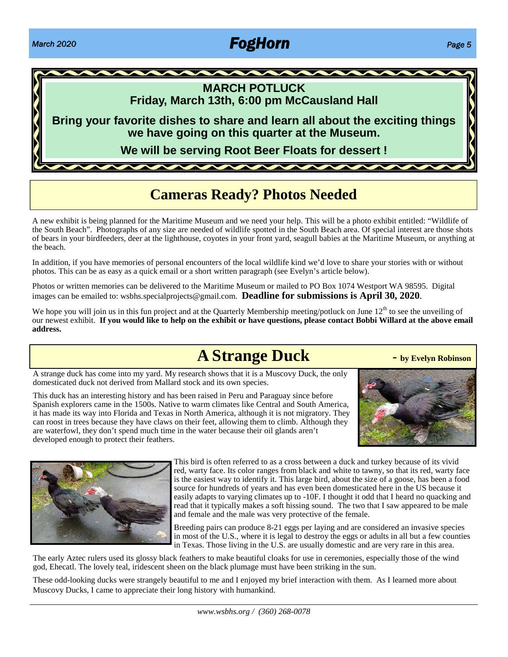### *March 2020 FogHorn Page 5*



#### **MARCH POTLUCK Friday, March 13th, 6:00 pm McCausland Hall**

**Bring your favorite dishes to share and learn all about the exciting things we have going on this quarter at the Museum.**

**We will be serving Root Beer Floats for dessert !**

### **Cameras Ready? Photos Needed**

A new exhibit is being planned for the Maritime Museum and we need your help. This will be a photo exhibit entitled: "Wildlife of the South Beach". Photographs of any size are needed of wildlife spotted in the South Beach area. Of special interest are those shots of bears in your birdfeeders, deer at the lighthouse, coyotes in your front yard, seagull babies at the Maritime Museum, or anything at the beach.

In addition, if you have memories of personal encounters of the local wildlife kind we'd love to share your stories with or without photos. This can be as easy as a quick email or a short written paragraph (see Evelyn's article below).

Photos or written memories can be delivered to the Maritime Museum or mailed to PO Box 1074 Westport WA 98595. Digital images can be emailed to: wsbhs.specialprojects@gmail.com. **Deadline for submissions is April 30, 2020**.

We hope you will join us in this fun project and at the Quarterly Membership meeting/potluck on June  $12<sup>th</sup>$  to see the unveiling of our newest exhibit. **If you would like to help on the exhibit or have questions, please contact Bobbi Willard at the above email address.**

### **A Strange Duck - by Evelyn Robinson**

A strange duck has come into my yard. My research shows that it is a Muscovy Duck, the only domesticated duck not derived from Mallard stock and its own species.

This duck has an interesting history and has been raised in Peru and Paraguay since before Spanish explorers came in the 1500s. Native to warm climates like Central and South America, it has made its way into Florida and Texas in North America, although it is not migratory. They can roost in trees because they have claws on their feet, allowing them to climb. Although they are waterfowl, they don't spend much time in the water because their oil glands aren't developed enough to protect their feathers.





This bird is often referred to as a cross between a duck and turkey because of its vivid red, warty face. Its color ranges from black and white to tawny, so that its red, warty face is the easiest way to identify it. This large bird, about the size of a goose, has been a food source for hundreds of years and has even been domesticated here in the US because it easily adapts to varying climates up to -10F. I thought it odd that I heard no quacking and read that it typically makes a soft hissing sound. The two that I saw appeared to be male and female and the male was very protective of the female.

Breeding pairs can produce 8-21 eggs per laying and are considered an invasive species in most of the U.S., where it is legal to destroy the eggs or adults in all but a few counties in Texas. Those living in the U.S. are usually domestic and are very rare in this area.

The early Aztec rulers used its glossy black feathers to make beautiful cloaks for use in ceremonies, especially those of the wind god, Ehecatl. The lovely teal, iridescent sheen on the black plumage must have been striking in the sun.

These odd-looking ducks were strangely beautiful to me and I enjoyed my brief interaction with them. As I learned more about Muscovy Ducks, I came to appreciate their long history with humankind.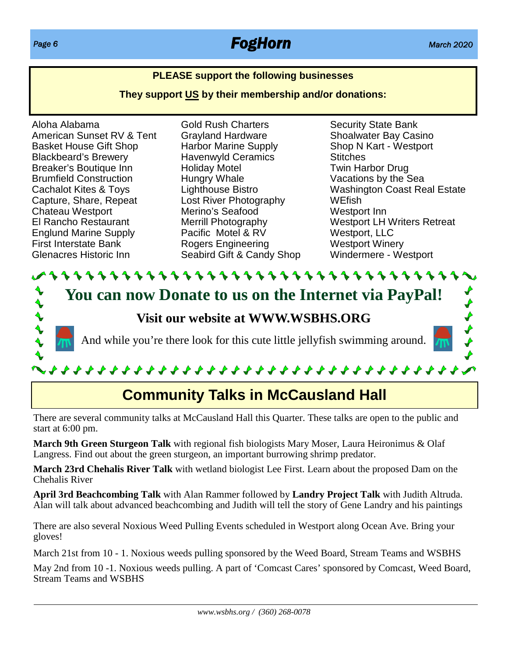### *Page 6 FogHorn March 2020*

 $\begin{array}{c}\n\blacklozenge \\
\blacklozenge \\
\blacklozenge\n\end{array}$ 

#### **PLEASE support the following businesses**

**They support US by their membership and/or donations:**

Aloha Alabama American Sunset RV & Tent Basket House Gift Shop Blackbeard's Brewery Breaker's Boutique Inn Brumfield Construction Cachalot Kites & Toys Capture, Share, Repeat Chateau Westport El Rancho Restaurant Englund Marine Supply First Interstate Bank Glenacres Historic Inn

Gold Rush Charters Grayland Hardware Harbor Marine Supply Havenwyld Ceramics Holiday Motel Hungry Whale Lighthouse Bistro Lost River Photography Merino's Seafood Merrill Photography Pacific Motel & RV Rogers Engineering Seabird Gift & Candy Shop Security State Bank Shoalwater Bay Casino Shop N Kart - Westport **Stitches** Twin Harbor Drug Vacations by the Sea Washington Coast Real Estate WEfish Westport Inn Westport LH Writers Retreat Westport, LLC Westport Winery Windermere - Westport

 $\begin{matrix} 2 \end{matrix}$ **You can now Donate to us on the Internet via PayPal!**

**Visit our website at WWW.WSBHS.ORG**

And while you're there look for this cute little jellyfish swimming around.

**\\\\\\\\\\\\\\\\\\\\\\\\\\\\\\** 

## **Community Talks in McCausland Hall**

There are several community talks at McCausland Hall this Quarter. These talks are open to the public and start at 6:00 pm.

**March 9th Green Sturgeon Talk** with regional fish biologists Mary Moser, Laura Heironimus & Olaf Langress. Find out about the green sturgeon, an important burrowing shrimp predator.

**March 23rd Chehalis River Talk** with wetland biologist Lee First. Learn about the proposed Dam on the Chehalis River

**April 3rd Beachcombing Talk** with Alan Rammer followed by **Landry Project Talk** with Judith Altruda. Alan will talk about advanced beachcombing and Judith will tell the story of Gene Landry and his paintings

There are also several Noxious Weed Pulling Events scheduled in Westport along Ocean Ave. Bring your gloves!

March 21st from 10 - 1. Noxious weeds pulling sponsored by the Weed Board, Stream Teams and WSBHS

May 2nd from 10 -1. Noxious weeds pulling. A part of 'Comcast Cares' sponsored by Comcast, Weed Board, Stream Teams and WSBHS

 $\blacklozenge \blacklozenge \blacklozenge$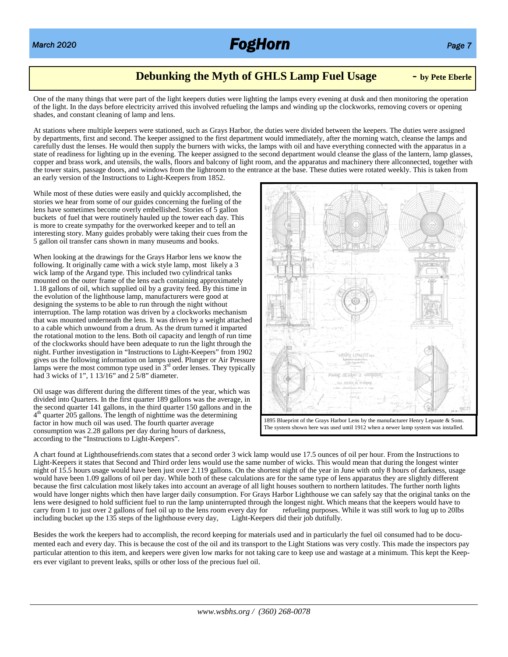

#### **Debunking the Myth of GHLS Lamp Fuel Usage - by Pete Eberle**

One of the many things that were part of the light keepers duties were lighting the lamps every evening at dusk and then monitoring the operation of the light. In the days before electricity arrived this involved refueling the lamps and winding up the clockworks, removing covers or opening shades, and constant cleaning of lamp and lens.

At stations where multiple keepers were stationed, such as Grays Harbor, the duties were divided between the keepers. The duties were assigned by departments, first and second. The keeper assigned to the first department would immediately, after the morning watch, cleanse the lamps and carefully dust the lenses. He would then supply the burners with wicks, the lamps with oil and have everything connected with the apparatus in a state of readiness for lighting up in the evening. The keeper assigned to the second department would cleanse the glass of the lantern, lamp glasses, copper and brass work, and utensils, the walls, floors and balcony of light room, and the apparatus and machinery there allconnected, together with the tower stairs, passage doors, and windows from the lightroom to the entrance at the base. These duties were rotated weekly. This is taken from an early version of the Instructions to Light-Keepers from 1852.

While most of these duties were easily and quickly accomplished, the stories we hear from some of our guides concerning the fueling of the lens have sometimes become overly embellished. Stories of 5 gallon buckets of fuel that were routinely hauled up the tower each day. This is more to create sympathy for the overworked keeper and to tell an interesting story. Many guides probably were taking their cues from the 5 gallon oil transfer cans shown in many museums and books.

When looking at the drawings for the Grays Harbor lens we know the following. It originally came with a wick style lamp, most likely a 3 wick lamp of the Argand type. This included two cylindrical tanks mounted on the outer frame of the lens each containing approximately 1.18 gallons of oil, which supplied oil by a gravity feed. By this time in the evolution of the lighthouse lamp, manufacturers were good at designing the systems to be able to run through the night without interruption. The lamp rotation was driven by a clockworks mechanism that was mounted underneath the lens. It was driven by a weight attached to a cable which unwound from a drum. As the drum turned it imparted the rotational motion to the lens. Both oil capacity and length of run time of the clockworks should have been adequate to run the light through the night. Further investigation in "Instructions to Light-Keepers" from 1902 gives us the following information on lamps used. Plunger or Air Pressure lamps were the most common type used in  $3<sup>rd</sup>$  order lenses. They typically had  $\overline{3}$  wicks of 1", 1 13/16" and  $\overline{2}$  5/8" diameter.

Oil usage was different during the different times of the year, which was divided into Quarters. In the first quarter 189 gallons was the average, in the second quarter 141 gallons, in the third quarter 150 gallons and in the 4<sup>th</sup> quarter 205 gallons. The length of nighttime was the determining factor in how much oil was used. The fourth quarter average consumption was 2.28 gallons per day during hours of darkness, according to the "Instructions to Light-Keepers".



1895 Blueprint of the Grays Harbor Lens by the manufacturer Henry Lepaute & Sons. The system shown here was used until 1912 when a newer lamp system was installed.

A chart found at Lighthousefriends.com states that a second order 3 wick lamp would use 17.5 ounces of oil per hour. From the Instructions to Light-Keepers it states that Second and Third order lens would use the same number of wicks. This would mean that during the longest winter night of 15.5 hours usage would have been just over 2.119 gallons. On the shortest night of the year in June with only 8 hours of darkness, usage would have been 1.09 gallons of oil per day. While both of these calculations are for the same type of lens apparatus they are slightly different because the first calculation most likely takes into account an average of all light houses southern to northern latitudes. The further north lights would have longer nights which then have larger daily consumption. For Grays Harbor Lighthouse we can safely say that the original tanks on the lens were designed to hold sufficient fuel to run the lamp uninterrupted through the longest night. Which means that the keepers would have to carry from 1 to just over 2 gallons of fuel oil up to the lens room every day f carry from 1 to just over 2 gallons of fuel oil up to the lens room every day for refueling purposes. Vincluding bucket up the 135 steps of the lighthouse every day, Light-Keepers did their job dutifully. including bucket up the 135 steps of the lighthouse every day,

Besides the work the keepers had to accomplish, the record keeping for materials used and in particularly the fuel oil consumed had to be documented each and every day. This is because the cost of the oil and its transport to the Light Stations was very costly. This made the inspectors pay particular attention to this item, and keepers were given low marks for not taking care to keep use and wastage at a minimum. This kept the Keepers ever vigilant to prevent leaks, spills or other loss of the precious fuel oil.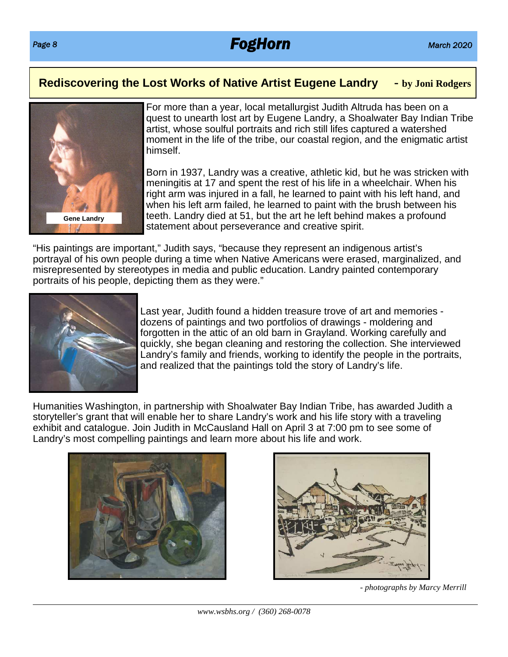### *Page 8 FogHorn March 2020*

#### **Rediscovering the Lost Works of Native Artist Eugene Landry - by Joni Rodgers**



For more than a year, local metallurgist Judith Altruda has been on a quest to unearth lost art by Eugene Landry, a Shoalwater Bay Indian Tribe artist, whose soulful portraits and rich still lifes captured a watershed moment in the life of the tribe, our coastal region, and the enigmatic artist himself.

Born in 1937, Landry was a creative, athletic kid, but he was stricken with meningitis at 17 and spent the rest of his life in a wheelchair. When his right arm was injured in a fall, he learned to paint with his left hand, and when his left arm failed, he learned to paint with the brush between his teeth. Landry died at 51, but the art he left behind makes a profound statement about perseverance and creative spirit.

"His paintings are important," Judith says, "because they represent an indigenous artist's portrayal of his own people during a time when Native Americans were erased, marginalized, and misrepresented by stereotypes in media and public education. Landry painted contemporary portraits of his people, depicting them as they were."



Last year, Judith found a hidden treasure trove of art and memories dozens of paintings and two portfolios of drawings - moldering and forgotten in the attic of an old barn in Grayland. Working carefully and quickly, she began cleaning and restoring the collection. She interviewed Landry's family and friends, working to identify the people in the portraits, and realized that the paintings told the story of Landry's life.

Humanities Washington, in partnership with Shoalwater Bay Indian Tribe, has awarded Judith a storyteller's grant that will enable her to share Landry's work and his life story with a traveling exhibit and catalogue. Join Judith in McCausland Hall on April 3 at 7:00 pm to see some of Landry's most compelling paintings and learn more about his life and work.





*- photographs by Marcy Merrill*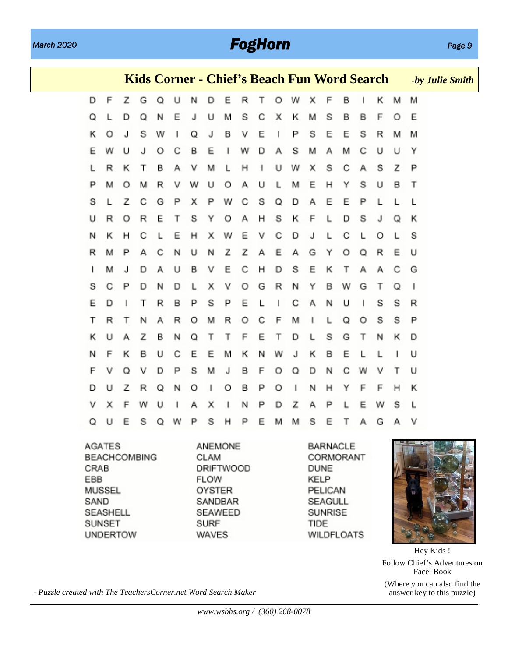### *March 2020 FogHorn Page 9*

|   |   |   |   |   | Kids Corner - Chief's Beach Fun Word Search |   |   |   |   |   |   |   |   |   |   |   |   |   |   | -by Julie Smith |
|---|---|---|---|---|---------------------------------------------|---|---|---|---|---|---|---|---|---|---|---|---|---|---|-----------------|
| D | F | Z | G | Q | U                                           | Ν | D | Ε | R | Т | O | W | х | F | в | ı | κ | М | М |                 |
| Q |   | D | Q | N | Ε                                           | J | U | М | S | С | х | κ | M | S | В | В | F | O | Ε |                 |
| κ | O | J | s | W | ı                                           | Q | J | в | ٧ | Ε | ı | Ρ | s | Ε | Ε | s | R | М | M |                 |
| Ε | W | U | J | O | С                                           | В | E | ı | W | D | Α | S | м | Α | м | С | U | U | Υ |                 |
| L | R | κ | Τ | в | Α                                           | ٧ | м | L | н | ı | U | W | х | s | С | Α | s | z | P |                 |
| Р | м | O | M | R | v                                           | W | U | O | Α | U | L | м | Ε | н | Υ | s | U | в | т |                 |
| s |   | Z | С | G | Ρ                                           | х | Ρ | W | С | S | Q | D | Α | Ε | E | Ρ |   |   |   |                 |
| U | R | O | R | Е | т                                           | s | Y | O | Α | н | s | κ | F | L | D | S | J | Q | к |                 |
| Ν | κ | н | С | L | Ε                                           | н | х | W | Ε | ٧ | С | D | J | L | С |   | O | L | s |                 |
| R | м | Ρ | А | С | N                                           | U | N | z | Ζ | А | E | А | G | Υ | O | Q | R | E | U |                 |
| I | м | J | D | Α | U                                           | В | ٧ | Ε | С | н | D | s | Ε | κ | Т | А | А | С | G |                 |
| s | С | Ρ | D | Ν | D                                           | L | х | ٧ | O | G | R | N | Υ | в | W | G | Т | Q | ı |                 |
| Е | D | ı | т | R | В                                           | Ρ | S | Ρ | Ε |   |   | С | А | N | U |   | S | S | R |                 |
| Т | R | Τ | Ν | Α | R                                           | O | М | R | O | С | F | М | ı | L | Q | O | s | s | Р |                 |
| κ | U | А | Z | в | Ν                                           | Q | Τ | Т | F | Ε | Τ | D | L | S | G | Т | N | κ | D |                 |
| N | F | κ | В | U | С                                           | Ε | Ε | м | κ | N | W | J | κ | в | Ε |   | L | ı | U |                 |
| F | V | Q | ٧ | D | P                                           | s | м | J | в | F | O | Q | D | Ν | С | w | ν | Т | U |                 |
| D | U | Z | R | Q | Ν                                           | O | ı | O | в | Ρ | Ο | ı | Ν | н | Y | F | F | н | к |                 |
| v | x | F | W | U |                                             | Α | х |   | N | Ρ | D | z | Α | Ρ |   | Ε | W | S | L |                 |
| Q | U | E | S | Q | W                                           | Ρ | S | н | Ρ | Ε | м | м | s | Ε | Τ | А | G | А | ٧ |                 |

**AGATES** ANEMONE **BARNACLE** BEACHCOMBING CLAM CORMORANT CRAB **DRIFTWOOD DUNE** EBB **FLOW** KELP **MUSSEL** OYSTER PELICAN SAND SANDBAR SEAGULL SEASHELL SEAWEED SUNRISE **SURF** SUNSET TIDE **UNDERTOW** WAVES **WILDFLOATS** 



Hey Kids ! Follow Chief's Adventures on Face Book (Where you can also find the answer key to this puzzle)

*- Puzzle created with The TeachersCorner.net Word Search Maker*